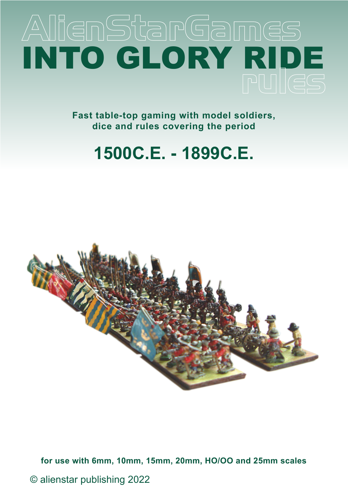# AlienStarGames INTO GLORY RIDE

**Fast table-top gaming with model soldiers, dice and rules covering the period**

## **1500C.E. - 1899C.E.**



**for use with 6mm, 10mm, 15mm, 20mm, HO/OO and 25mm scales**

© alienstar publishing 2022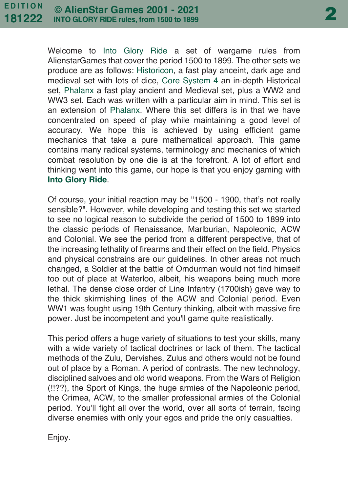Welcome to Into Glory Ride a set of wargame rules from AlienstarGames that cover the period 1500 to 1899. The other sets we produce are as follows: Historicon, a fast play anceint, dark age and medieval set with lots of dice, Core System 4 an in-depth Historical set, Phalanx a fast play ancient and Medieval set, plus a WW2 and WW3 set. Each was written with a particular aim in mind. This set is an extension of Phalanx. Where this set differs is in that we have concentrated on speed of play while maintaining a good level of accuracy. We hope this is achieved by using efficient game mechanics that take a pure mathematical approach. This game contains many radical systems, terminology and mechanics of which combat resolution by one die is at the forefront. A lot of effort and thinking went into this game, our hope is that you enjoy gaming with **Into Glory Ride**.

Of course, your initial reaction may be "1500 - 1900, that's not really sensible?". However, while developing and testing this set we started to see no logical reason to subdivide the period of 1500 to 1899 into the classic periods of Renaissance, Marlburian, Napoleonic, ACW and Colonial. We see the period from a different perspective, that of the increasing lethality of firearms and their effect on the field. Physics and physical constrains are our guidelines. In other areas not much changed, a Soldier at the battle of Omdurman would not find himself too out of place at Waterloo, albeit, his weapons being much more lethal. The dense close order of Line Infantry (1700ish) gave way to the thick skirmishing lines of the ACW and Colonial period. Even WW1 was fought using 19th Century thinking, albeit with massive fire power. Just be incompetent and you'll game quite realistically.

This period offers a huge variety of situations to test your skills, many with a wide variety of tactical doctrines or lack of them. The tactical methods of the Zulu, Dervishes, Zulus and others would not be found out of place by a Roman. A period of contrasts. The new technology, disciplined salvoes and old world weapons. From the Wars of Religion (!!??), the Sport of Kings, the huge armies of the Napoleonic period, the Crimea, ACW, to the smaller professional armies of the Colonial period. You'll fight all over the world, over all sorts of terrain, facing diverse enemies with only your egos and pride the only casualties.

Enjoy.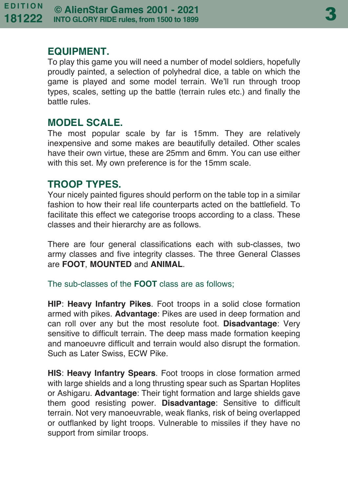#### **EQUIPMENT.**

To play this game you will need a number of model soldiers, hopefully proudly painted, a selection of polyhedral dice, a table on which the game is played and some model terrain. We'll run through troop types, scales, setting up the battle (terrain rules etc.) and finally the battle rules.

#### **MODEL SCALE.**

The most popular scale by far is 15mm. They are relatively inexpensive and some makes are beautifully detailed. Other scales have their own virtue, these are 25mm and 6mm. You can use either with this set. My own preference is for the 15mm scale.

#### **TROOP TYPES.**

Your nicely painted figures should perform on the table top in a similar fashion to how their real life counterparts acted on the battlefield. To facilitate this effect we categorise troops according to a class. These classes and their hierarchy are as follows.

There are four general classifications each with sub-classes, two army classes and five integrity classes. The three General Classes are **FOOT**, **MOUNTED** and **ANIMAL**.

The sub-classes of the **FOOT** class are as follows;

**HIP**: **Heavy Infantry Pikes**. Foot troops in a solid close formation armed with pikes. **Advantage**: Pikes are used in deep formation and can roll over any but the most resolute foot. **Disadvantage**: Very sensitive to difficult terrain. The deep mass made formation keeping and manoeuvre difficult and terrain would also disrupt the formation. Such as Later Swiss, ECW Pike.

**HIS**: **Heavy Infantry Spears**. Foot troops in close formation armed with large shields and a long thrusting spear such as Spartan Hoplites or Ashigaru. **Advantage**: Their tight formation and large shields gave them good resisting power. **Disadvantage**: Sensitive to difficult terrain. Not very manoeuvrable, weak flanks, risk of being overlapped or outflanked by light troops. Vulnerable to missiles if they have no support from similar troops.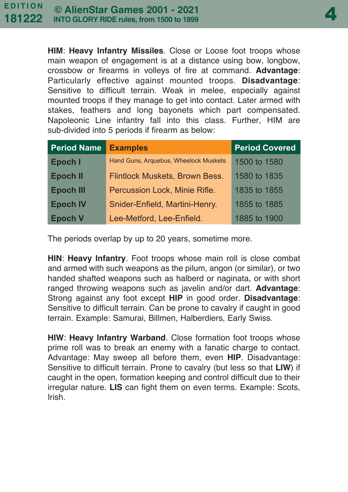**HIM**: **Heavy Infantry Missiles**. Close or Loose foot troops whose main weapon of engagement is at a distance using bow, longbow, crossbow or firearms in volleys of fire at command. **Advantage**: Particularly effective against mounted troops. **Disadvantage**: Sensitive to difficult terrain. Weak in melee, especially against mounted troops if they manage to get into contact. Later armed with stakes, feathers and long bayonets which part compensated. Napoleonic Line infantry fall into this class. Further, HIM are sub-divided into 5 periods if firearm as below:

| <b>Period Name</b> | <b>Examples</b>                       | <b>Period Covered</b> |
|--------------------|---------------------------------------|-----------------------|
| Epoch I            | Hand Guns, Arquebus, Wheelock Muskets | 1500 to 1580          |
| <b>Epoch II</b>    | Flintlock Muskets, Brown Bess.        | 1580 to 1835          |
| <b>Epoch III</b>   | Percussion Lock, Minie Rifle.         | 1835 to 1855          |
| <b>Epoch IV</b>    | Snider-Enfield, Martini-Henry.        | 1855 to 1885          |
| <b>Epoch V</b>     | Lee-Metford, Lee-Enfield.             | 1885 to 1900          |

The periods overlap by up to 20 years, sometime more.

**HIN**: **Heavy Infantry**. Foot troops whose main roll is close combat and armed with such weapons as the pilum, angon (or similar), or two handed shafted weapons such as halberd or naginata, or with short ranged throwing weapons such as javelin and/or dart. **Advantage**: Strong against any foot except **HIP** in good order. **Disadvantage**: Sensitive to difficult terrain. Can be prone to cavalry if caught in good terrain. Example: Samurai, Billmen, Halberdiers, Early Swiss.

**HIW**: **Heavy Infantry Warband**. Close formation foot troops whose prime roll was to break an enemy with a fanatic charge to contact. Advantage: May sweep all before them, even **HIP**. Disadvantage: Sensitive to difficult terrain. Prone to cavalry (but less so that **LIW**) if caught in the open, formation keeping and control difficult due to their irregular nature. **LIS** can fight them on even terms. Example: Scots, Irish.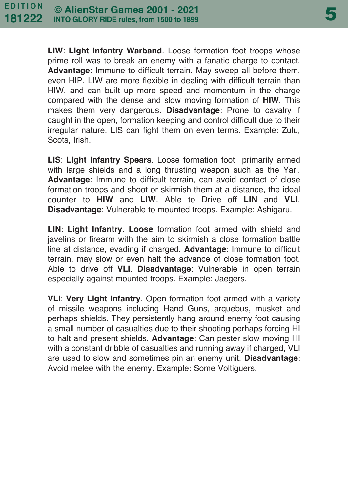**LIW**: **Light Infantry Warband**. Loose formation foot troops whose prime roll was to break an enemy with a fanatic charge to contact. **Advantage**: Immune to difficult terrain. May sweep all before them, even HIP. LIW are more flexible in dealing with difficult terrain than HIW, and can built up more speed and momentum in the charge compared with the dense and slow moving formation of **HIW**. This makes them very dangerous. **Disadvantage**: Prone to cavalry if caught in the open, formation keeping and control difficult due to their irregular nature. LIS can fight them on even terms. Example: Zulu, Scots, Irish.

**LIS**: **Light Infantry Spears**. Loose formation foot primarily armed with large shields and a long thrusting weapon such as the Yari. **Advantage**: Immune to difficult terrain, can avoid contact of close formation troops and shoot or skirmish them at a distance, the ideal counter to **HIW** and **LIW**. Able to Drive off **LIN** and **VLI**. **Disadvantage**: Vulnerable to mounted troops. Example: Ashigaru.

**LIN**: **Light Infantry**. **Loose** formation foot armed with shield and javelins or firearm with the aim to skirmish a close formation battle line at distance, evading if charged. **Advantage**: Immune to difficult terrain, may slow or even halt the advance of close formation foot. Able to drive off **VLI**. **Disadvantage**: Vulnerable in open terrain especially against mounted troops. Example: Jaegers.

**VLI**: **Very Light Infantry**. Open formation foot armed with a variety of missile weapons including Hand Guns, arquebus, musket and perhaps shields. They persistently hang around enemy foot causing a small number of casualties due to their shooting perhaps forcing HI to halt and present shields. **Advantage**: Can pester slow moving HI with a constant dribble of casualties and running away if charged, VLI are used to slow and sometimes pin an enemy unit. **Disadvantage**: Avoid melee with the enemy. Example: Some Voltiguers.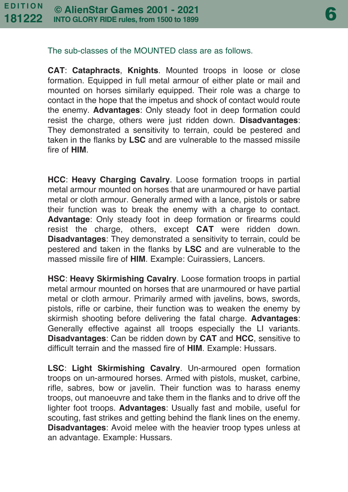6

#### The sub-classes of the MOUNTED class are as follows.

**CAT**: **Cataphracts**, **Knights**. Mounted troops in loose or close formation. Equipped in full metal armour of either plate or mail and mounted on horses similarly equipped. Their role was a charge to contact in the hope that the impetus and shock of contact would route the enemy. **Advantages**: Only steady foot in deep formation could resist the charge, others were just ridden down. **Disadvantages**: They demonstrated a sensitivity to terrain, could be pestered and taken in the flanks by **LSC** and are vulnerable to the massed missile fire of **HIM**.

**HCC**: **Heavy Charging Cavalry**. Loose formation troops in partial metal armour mounted on horses that are unarmoured or have partial metal or cloth armour. Generally armed with a lance, pistols or sabre their function was to break the enemy with a charge to contact. **Advantage**: Only steady foot in deep formation or firearms could resist the charge, others, except **CAT** were ridden down. **Disadvantages**: They demonstrated a sensitivity to terrain, could be pestered and taken in the flanks by **LSC** and are vulnerable to the massed missile fire of **HIM**. Example: Cuirassiers, Lancers.

**HSC**: **Heavy Skirmishing Cavalry**. Loose formation troops in partial metal armour mounted on horses that are unarmoured or have partial metal or cloth armour. Primarily armed with javelins, bows, swords, pistols, rifle or carbine, their function was to weaken the enemy by skirmish shooting before delivering the fatal charge. **Advantages**: Generally effective against all troops especially the LI variants. **Disadvantages**: Can be ridden down by **CAT** and **HCC**, sensitive to difficult terrain and the massed fire of **HIM**. Example: Hussars.

**LSC**: **Light Skirmishing Cavalry**. Un-armoured open formation troops on un-armoured horses. Armed with pistols, musket, carbine, rifle, sabres, bow or javelin. Their function was to harass enemy troops, out manoeuvre and take them in the flanks and to drive off the lighter foot troops. **Advantages**: Usually fast and mobile, useful for scouting, fast strikes and getting behind the flank lines on the enemy. **Disadvantages**: Avoid melee with the heavier troop types unless at an advantage. Example: Hussars.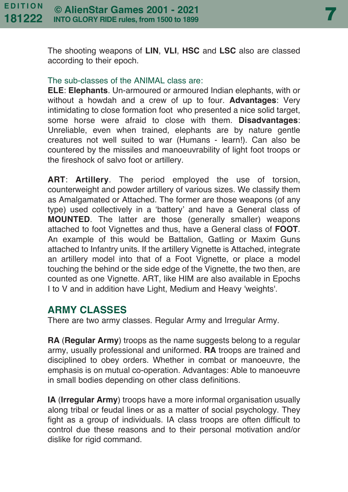7

The shooting weapons of **LIN**, **VLI**, **HSC** and **LSC** also are classed according to their epoch.

#### The sub-classes of the ANIMAL class are:

**ELE**: **Elephants**. Un-armoured or armoured Indian elephants, with or without a howdah and a crew of up to four. **Advantages**: Very intimidating to close formation foot who presented a nice solid target, some horse were afraid to close with them. **Disadvantages**: Unreliable, even when trained, elephants are by nature gentle creatures not well suited to war (Humans - learn!). Can also be countered by the missiles and manoeuvrability of light foot troops or the fireshock of salvo foot or artillery.

**ART**: **Artillery**. The period employed the use of torsion, counterweight and powder artillery of various sizes. We classify them as Amalgamated or Attached. The former are those weapons (of any type) used collectively in a 'battery' and have a General class of **MOUNTED**. The latter are those (generally smaller) weapons attached to foot Vignettes and thus, have a General class of **FOOT**. An example of this would be Battalion, Gatling or Maxim Guns attached to Infantry units. If the artillery Vignette is Attached, integrate an artillery model into that of a Foot Vignette, or place a model touching the behind or the side edge of the Vignette, the two then, are counted as one Vignette. ART, like HIM are also available in Epochs I to V and in addition have Light, Medium and Heavy 'weights'.

#### **ARMY CLASSES**

There are two army classes. Regular Army and Irregular Army.

**RA** (**Regular Army**) troops as the name suggests belong to a regular army, usually professional and uniformed. **RA** troops are trained and disciplined to obey orders. Whether in combat or manoeuvre, the emphasis is on mutual co-operation. Advantages: Able to manoeuvre in small bodies depending on other class definitions.

**IA** (**Irregular Army**) troops have a more informal organisation usually along tribal or feudal lines or as a matter of social psychology. They fight as a group of individuals. IA class troops are often difficult to control due these reasons and to their personal motivation and/or dislike for rigid command.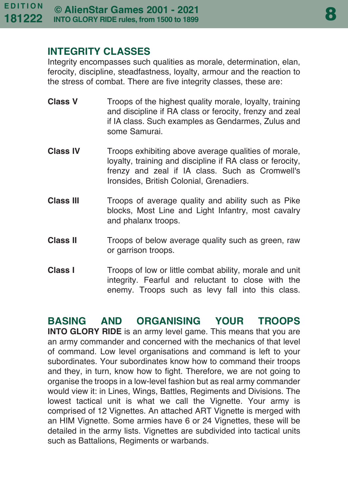#### **INTEGRITY CLASSES**

Integrity encompasses such qualities as morale, determination, elan, ferocity, discipline, steadfastness, loyalty, armour and the reaction to the stress of combat. There are five integrity classes, these are:

- **Class V** Troops of the highest quality morale, loyalty, training and discipline if RA class or ferocity, frenzy and zeal if IA class. Such examples as Gendarmes, Zulus and some Samurai.
- **Class IV** Troops exhibiting above average qualities of morale, loyalty, training and discipline if RA class or ferocity, frenzy and zeal if IA class. Such as Cromwell's Ironsides, British Colonial, Grenadiers.
- **Class III** Troops of average quality and ability such as Pike blocks, Most Line and Light Infantry, most cavalry and phalanx troops.
- **Class II** Troops of below average quality such as green, raw or garrison troops.
- **Class I** Troops of low or little combat ability, morale and unit integrity. Fearful and reluctant to close with the enemy. Troops such as levy fall into this class.

**BASING AND ORGANISING YOUR TROOPS INTO GLORY RIDE** is an army level game. This means that you are an army commander and concerned with the mechanics of that level of command. Low level organisations and command is left to your subordinates. Your subordinates know how to command their troops and they, in turn, know how to fight. Therefore, we are not going to organise the troops in a low-level fashion but as real army commander would view it: in Lines, Wings, Battles, Regiments and Divisions. The lowest tactical unit is what we call the Vignette. Your army is comprised of 12 Vignettes. An attached ART Vignette is merged with an HIM Vignette. Some armies have 6 or 24 Vignettes, these will be detailed in the army lists. Vignettes are subdivided into tactical units such as Battalions, Regiments or warbands.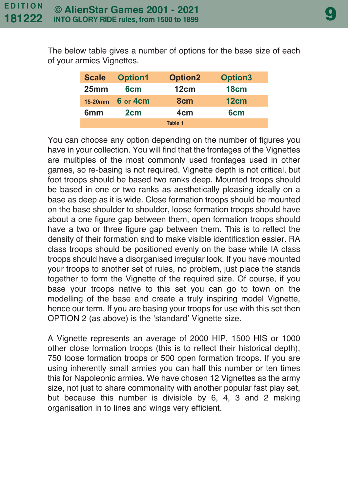The below table gives a number of options for the base size of each of your armies Vignettes.

| <b>Scale</b> | <b>Option1</b>  | <b>Option2</b>  | Option <sub>3</sub> |  |
|--------------|-----------------|-----------------|---------------------|--|
| 25mm         | 6cm             | 12cm            | 18cm                |  |
| $15-20$ mm   | 6 or 4cm        | 8 <sub>cm</sub> | 12cm                |  |
| 6mm          | 2 <sub>cm</sub> | 4cm             | 6 <sub>cm</sub>     |  |
| Table 1      |                 |                 |                     |  |

You can choose any option depending on the number of figures you have in your collection. You will find that the frontages of the Vignettes are multiples of the most commonly used frontages used in other games, so re-basing is not required. Vignette depth is not critical, but foot troops should be based two ranks deep. Mounted troops should be based in one or two ranks as aesthetically pleasing ideally on a base as deep as it is wide. Close formation troops should be mounted on the base shoulder to shoulder, loose formation troops should have about a one figure gap between them, open formation troops should have a two or three figure gap between them. This is to reflect the density of their formation and to make visible identification easier. RA class troops should be positioned evenly on the base while IA class troops should have a disorganised irregular look. If you have mounted your troops to another set of rules, no problem, just place the stands together to form the Vignette of the required size. Of course, if you base your troops native to this set you can go to town on the modelling of the base and create a truly inspiring model Vignette, hence our term. If you are basing your troops for use with this set then OPTION 2 (as above) is the 'standard' Vignette size.

A Vignette represents an average of 2000 HIP, 1500 HIS or 1000 other close formation troops (this is to reflect their historical depth), 750 loose formation troops or 500 open formation troops. If you are using inherently small armies you can half this number or ten times this for Napoleonic armies. We have chosen 12 Vignettes as the army size, not just to share commonality with another popular fast play set, but because this number is divisible by 6, 4, 3 and 2 making organisation in to lines and wings very efficient.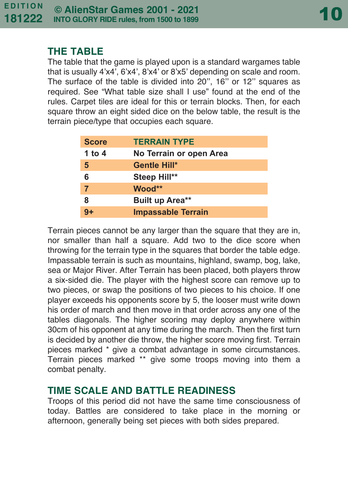#### **THE TABLE**

The table that the game is played upon is a standard wargames table that is usually 4'x4', 6'x4', 8'x4' or 8'x5' depending on scale and room. The surface of the table is divided into 20", 16" or 12" squares as required. See "What table size shall I use" found at the end of the rules. Carpet tiles are ideal for this or terrain blocks. Then, for each square throw an eight sided dice on the below table, the result is the terrain piece/type that occupies each square.

| <b>Score</b>   | <b>TERRAIN TYPE</b>       |
|----------------|---------------------------|
| 1 to 4         | No Terrain or open Area   |
| 5              | Gentle Hill*              |
| 6              | Steep Hill**              |
| $\overline{7}$ | Wood**                    |
| 8              | <b>Built up Area**</b>    |
| 9+             | <b>Impassable Terrain</b> |

Terrain pieces cannot be any larger than the square that they are in, nor smaller than half a square. Add two to the dice score when throwing for the terrain type in the squares that border the table edge. Impassable terrain is such as mountains, highland, swamp, bog, lake, sea or Major River. After Terrain has been placed, both players throw a six-sided die. The player with the highest score can remove up to two pieces, or swap the positions of two pieces to his choice. If one player exceeds his opponents score by 5, the looser must write down his order of march and then move in that order across any one of the tables diagonals. The higher scoring may deploy anywhere within 30cm of his opponent at any time during the march. Then the first turn is decided by another die throw, the higher score moving first. Terrain pieces marked \* give a combat advantage in some circumstances. Terrain pieces marked \*\* give some troops moving into them a combat penalty.

#### **TIME SCALE AND BATTLE READINESS**

Troops of this period did not have the same time consciousness of today. Battles are considered to take place in the morning or afternoon, generally being set pieces with both sides prepared.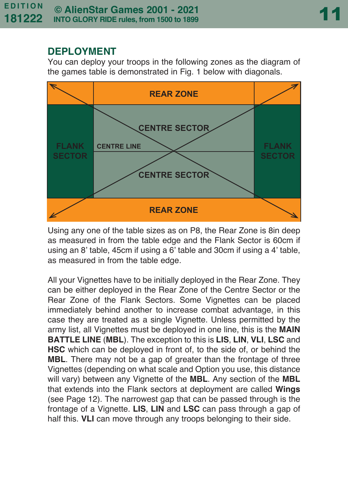#### **DEPLOYMENT**

You can deploy your troops in the following zones as the diagram of the games table is demonstrated in Fig. 1 below with diagonals.



Using any one of the table sizes as on P8, the Rear Zone is 8in deep as measured in from the table edge and the Flank Sector is 60cm if using an 8' table, 45cm if using a 6' table and 30cm if using a 4' table, as measured in from the table edge.

All your Vignettes have to be initially deployed in the Rear Zone. They can be either deployed in the Rear Zone of the Centre Sector or the Rear Zone of the Flank Sectors. Some Vignettes can be placed immediately behind another to increase combat advantage, in this case they are treated as a single Vignette. Unless permitted by the army list, all Vignettes must be deployed in one line, this is the **MAIN BATTLE LINE** (**MBL**). The exception to this is **LIS**, **LIN**, **VLI**, **LSC** and **HSC** which can be deployed in front of, to the side of, or behind the **MBL**. There may not be a gap of greater than the frontage of three Vignettes (depending on what scale and Option you use, this distance will vary) between any Vignette of the **MBL**. Any section of the **MBL** that extends into the Flank sectors at deployment are called **Wings** (see Page 12). The narrowest gap that can be passed through is the frontage of a Vignette. **LIS**, **LIN** and **LSC** can pass through a gap of half this. **VLI** can move through any troops belonging to their side.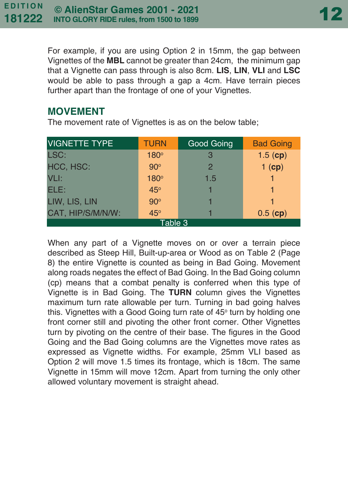For example, if you are using Option 2 in 15mm, the gap between Vignettes of the **MBL** cannot be greater than 24cm, the minimum gap that a Vignette can pass through is also 8cm. **LIS**, **LIN**, **VLI** and **LSC** would be able to pass through a gap a 4cm. Have terrain pieces further apart than the frontage of one of your Vignettes.

#### **MOVEMENT**

The movement rate of Vignettes is as on the below table;

| <b>VIGNETTE TYPE</b> | <b>TURN</b> | Good Going    | <b>Bad Going</b> |  |  |
|----------------------|-------------|---------------|------------------|--|--|
| LSC:                 | 180°        | 3             | $1.5$ (cp)       |  |  |
| HCC, HSC:            | $90^\circ$  | $\mathcal{P}$ | $1$ (cp)         |  |  |
| VLI:                 | 180°        | 1.5           |                  |  |  |
| ELE:                 | 45°         |               |                  |  |  |
| LIW, LIS, LIN        | $90^\circ$  |               |                  |  |  |
| CAT, HIP/S/M/N/W:    | $45^\circ$  |               | $0.5$ (cp)       |  |  |
| Table 3              |             |               |                  |  |  |

When any part of a Vignette moves on or over a terrain piece described as Steep Hill, Built-up-area or Wood as on Table 2 (Page 8) the entire Vignette is counted as being in Bad Going. Movement along roads negates the effect of Bad Going. In the Bad Going column (cp) means that a combat penalty is conferred when this type of Vignette is in Bad Going. The **TURN** column gives the Vignettes maximum turn rate allowable per turn. Turning in bad going halves this. Vignettes with a Good Going turn rate of 45° turn by holding one front corner still and pivoting the other front corner. Other Vignettes turn by pivoting on the centre of their base. The figures in the Good Going and the Bad Going columns are the Vignettes move rates as expressed as Vignette widths. For example, 25mm VLI based as Option 2 will move 1.5 times its frontage, which is 18cm. The same Vignette in 15mm will move 12cm. Apart from turning the only other allowed voluntary movement is straight ahead.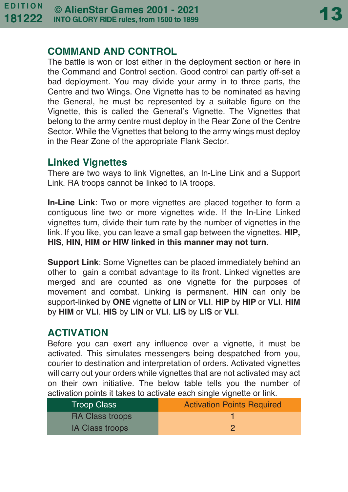#### **COMMAND AND CONTROL**

The battle is won or lost either in the deployment section or here in the Command and Control section. Good control can partly off-set a bad deployment. You may divide your army in to three parts, the Centre and two Wings. One Vignette has to be nominated as having the General, he must be represented by a suitable figure on the Vignette, this is called the General's Vignette. The Vignettes that belong to the army centre must deploy in the Rear Zone of the Centre Sector. While the Vignettes that belong to the army wings must deploy in the Rear Zone of the appropriate Flank Sector.

#### **Linked Vignettes**

There are two ways to link Vignettes, an In-Line Link and a Support Link. RA troops cannot be linked to IA troops.

**In-Line Link**: Two or more vignettes are placed together to form a contiguous line two or more vignettes wide. If the In-Line Linked vignettes turn, divide their turn rate by the number of vignettes in the link. If you like, you can leave a small gap between the vignettes. **HIP, HIS, HIN, HIM or HIW linked in this manner may not turn**.

**Support Link**: Some Vignettes can be placed immediately behind an other to gain a combat advantage to its front. Linked vignettes are merged and are counted as one vignette for the purposes of movement and combat. Linking is permanent. **HIN** can only be support-linked by **ONE** vignette of **LIN** or **VLI**. **HIP** by **HIP** or **VLI**. **HIM** by **HIM** or **VLI**. **HIS** by **LIN** or **VLI**. **LIS** by **LIS** or **VLI**.

#### **ACTIVATION**

Before you can exert any influence over a vignette, it must be activated. This simulates messengers being despatched from you, courier to destination and interpretation of orders. Activated vignettes will carry out your orders while vignettes that are not activated may act on their own initiative. The below table tells you the number of activation points it takes to activate each single vignette or link.

| <b>Troop Class</b>     | <b>Activation Points Required</b> |
|------------------------|-----------------------------------|
| <b>RA Class troops</b> |                                   |
| <b>IA Class troops</b> | ാ                                 |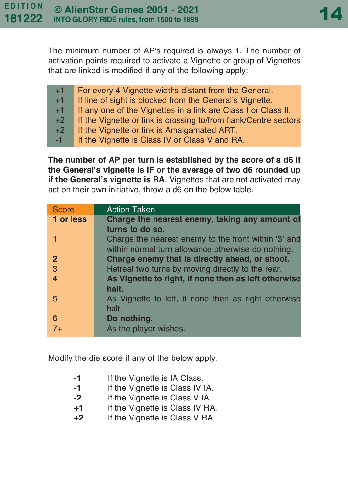The minimum number of AP's required is always 1. The number of activation points required to activate a Vignette or group of Vignettes that are linked is modified if any of the following apply:

| $+1$ | For every 4 Vignette widths distant from the General.            |
|------|------------------------------------------------------------------|
| $+1$ | If line of sight is blocked from the General's Vignette.         |
| $+1$ | If any one of the Vignettes in a link are Class I or Class II.   |
| $+2$ | If the Vignette or link is crossing to/from flank/Centre sectors |
| $+2$ | If the Vignette or link is Amalgamated ART.                      |
| $-1$ | If the Vignette is Class IV or Class V and RA.                   |

**The number of AP per turn is established by the score of a d6 if the General's vignette is IF or the average of two d6 rounded up if the General's vignette is RA**. Vignettes that are not activated may act on their own initiative, throw a d6 on the below table.

| <b>Score</b>   | <b>Action Taken</b>                                  |
|----------------|------------------------------------------------------|
| 1 or less      | Charge the nearest enemy, taking any amount of       |
|                | turns to do so.                                      |
|                | Charge the nearest enemy to the front within '3' and |
|                | within normal turn allowance otherwise do nothing.   |
| $\mathbf{2}$   | Charge enemy that is directly ahead, or shoot.       |
| $\overline{3}$ | Retreat two turns by moving directly to the rear.    |
| $\overline{4}$ | As Vignette to right, if none then as left otherwise |
|                | halt.                                                |
| 5              | As Vignette to left, if none then as right otherwise |
|                | halt.                                                |
| 6              | Do nothing.                                          |
| $7+$           | As the player wishes.                                |

Modify the die score if any of the below apply.

| -1 |  | If the Vignette is IA Class. |  |  |  |
|----|--|------------------------------|--|--|--|
|----|--|------------------------------|--|--|--|

- **-1** If the Vignette is Class IV IA.
- **-2** If the Vignette is Class V IA.
- **+1** If the Vignette is Class IV RA.
- **+2** If the Vignette is Class V RA.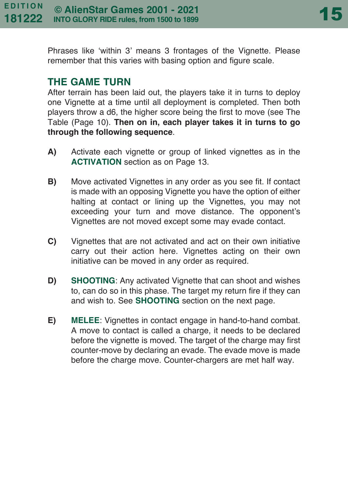Phrases like 'within 3' means 3 frontages of the Vignette. Please remember that this varies with basing option and figure scale.

#### **THE GAME TURN**

After terrain has been laid out, the players take it in turns to deploy one Vignette at a time until all deployment is completed. Then both players throw a d6, the higher score being the first to move (see The Table (Page 10). **Then on in, each player takes it in turns to go through the following sequence**.

- **A)** Activate each vignette or group of linked vignettes as in the **ACTIVATION** section as on Page 13.
- **B)** Move activated Vignettes in any order as you see fit. If contact is made with an opposing Vignette you have the option of either halting at contact or lining up the Vignettes, you may not exceeding your turn and move distance. The opponent's Vignettes are not moved except some may evade contact.
- **C)** Vignettes that are not activated and act on their own initiative carry out their action here. Vignettes acting on their own initiative can be moved in any order as required.
- **D) SHOOTING**: Any activated Vignette that can shoot and wishes to, can do so in this phase. The target my return fire if they can and wish to. See **SHOOTING** section on the next page.
- **E) MELEE**: Vignettes in contact engage in hand-to-hand combat. A move to contact is called a charge, it needs to be declared before the vignette is moved. The target of the charge may first counter-move by declaring an evade. The evade move is made before the charge move. Counter-chargers are met half way.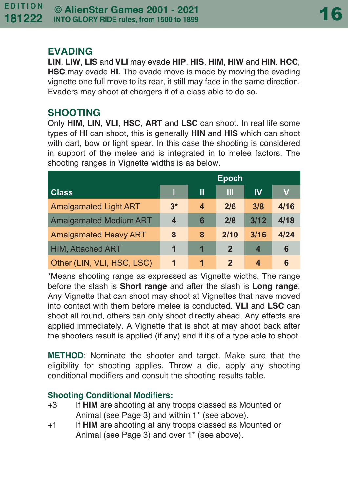#### **EVADING**

**LIN**, **LIW**, **LIS** and **VLI** may evade **HIP**. **HIS**, **HIM**, **HIW** and **HIN**. **HCC**, **HSC** may evade **HI**. The evade move is made by moving the evading vignette one full move to its rear, it still may face in the same direction. Evaders may shoot at chargers if of a class able to do so.

#### **SHOOTING**

Only **HIM**, **LIN**, **VLI**, **HSC**, **ART** and **LSC** can shoot. In real life some types of **HI** can shoot, this is generally **HIN** and **HIS** which can shoot with dart, bow or light spear. In this case the shooting is considered in support of the melee and is integrated in to melee factors. The shooting ranges in Vignette widths is as below.

|                               | <b>Epoch</b>     |   |                |      |      |
|-------------------------------|------------------|---|----------------|------|------|
| <b>Class</b>                  |                  | Ш | Ш              | IV   | V    |
| <b>Amalgamated Light ART</b>  | $3*$             | 4 | 2/6            | 3/8  | 4/16 |
| <b>Amalgamated Medium ART</b> | $\boldsymbol{4}$ | 6 | 2/8            | 3/12 | 4/18 |
| <b>Amalgamated Heavy ART</b>  | 8                | 8 | 2/10           | 3/16 | 4/24 |
| <b>HIM, Attached ART</b>      | 1                | 1 | $\overline{2}$ | 4    | 6    |
| Other (LIN, VLI, HSC, LSC)    | 1                | 1 | 2              | 4    | 6    |

\*Means shooting range as expressed as Vignette widths. The range before the slash is **Short range** and after the slash is **Long range**. Any Vignette that can shoot may shoot at Vignettes that have moved into contact with them before melee is conducted. **VLI** and **LSC** can shoot all round, others can only shoot directly ahead. Any effects are applied immediately. A Vignette that is shot at may shoot back after the shooters result is applied (if any) and if it's of a type able to shoot.

**METHOD**: Nominate the shooter and target. Make sure that the eligibility for shooting applies. Throw a die, apply any shooting conditional modifiers and consult the shooting results table.

#### **Shooting Conditional Modifiers:**

- +3 If **HIM** are shooting at any troops classed as Mounted or Animal (see Page 3) and within 1\* (see above).
- +1 If **HIM** are shooting at any troops classed as Mounted or Animal (see Page 3) and over 1<sup>\*</sup> (see above).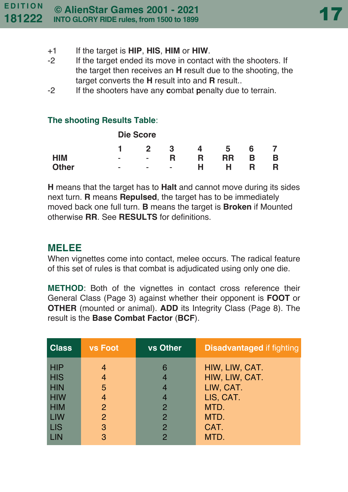- +1 If the target is **HIP**, **HIS**, **HIM** or **HIW**.
- -2 If the target ended its move in contact with the shooters. If the target then receives an **H** result due to the shooting, the target converts the **H** result into and **R** result..
- -2 If the shooters have any **c**ombat **p**enalty due to terrain.

#### **The shooting Results Table**:

|              |   | <b>Die Score</b>         |   |   |    |   |   |
|--------------|---|--------------------------|---|---|----|---|---|
|              |   | 2                        | 3 | 4 | 5  | 6 |   |
| <b>HIM</b>   | ٠ | ٠                        | R | R | RR | в | в |
| <b>Other</b> | ٠ | $\overline{\phantom{a}}$ | ۰ | н | н  | R |   |

**H** means that the target has to **Halt** and cannot move during its sides next turn. **R** means **Repulsed**, the target has to be immediately moved back one full turn. **B** means the target is **Broken** if Mounted otherwise **RR**. See **RESULTS** for definitions.

#### **MELEE**

When vignettes come into contact, melee occurs. The radical feature of this set of rules is that combat is adjudicated using only one die.

**METHOD**: Both of the vignettes in contact cross reference their General Class (Page 3) against whether their opponent is **FOOT** or **OTHER** (mounted or animal). **ADD** its Integrity Class (Page 8). The result is the **Base Combat Factor** (**BCF**).

| <b>Class</b> | <b>vs Foot</b> | <b>vs Other</b> | <b>Disadvantaged if fighting</b> |
|--------------|----------------|-----------------|----------------------------------|
| <b>HIP</b>   | 4              | 6               | HIW, LIW, CAT.                   |
| <b>HIS</b>   | 4              | 4               | HIW, LIW, CAT.                   |
| <b>HIN</b>   | 5              | 4               | LIW, CAT.                        |
| <b>HIW</b>   | 4              | 4               | LIS, CAT.                        |
| <b>HIM</b>   | 2              | $\mathcal{P}$   | MTD.                             |
| LIW          | 2              | $\mathcal{P}$   | MTD.                             |
| <b>LIS</b>   | 3              | $\mathcal{P}$   | CAT.                             |
| LIN          | 3              | 2               | MTD.                             |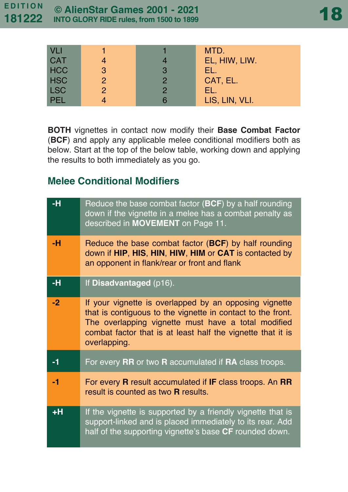| VLI        |               |               | MTD.           |
|------------|---------------|---------------|----------------|
| <b>CAT</b> |               |               | EL, HIW, LIW.  |
| <b>HCC</b> | 3             | 3             | FL.            |
| <b>HSC</b> | $\mathcal{P}$ | 2             | CAT, EL.       |
| <b>LSC</b> | $\mathcal{P}$ | $\mathcal{P}$ | EL.            |
| <b>PEL</b> |               |               | LIS, LIN, VLI. |

**BOTH** vignettes in contact now modify their **Base Combat Factor** (**BCF**) and apply any applicable melee conditional modifiers both as below. Start at the top of the below table, working down and applying the results to both immediately as you go.

### **Melee Conditional Modifiers**

| -н   | Reduce the base combat factor $(BCF)$ by a half rounding<br>down if the vignette in a melee has a combat penalty as<br>described in MOVEMENT on Page 11.                                                                                                    |
|------|-------------------------------------------------------------------------------------------------------------------------------------------------------------------------------------------------------------------------------------------------------------|
| -н   | Reduce the base combat factor (BCF) by half rounding<br>down if HIP, HIS, HIN, HIW, HIM or CAT is contacted by<br>an opponent in flank/rear or front and flank                                                                                              |
| -н   | If Disadvantaged (p16).                                                                                                                                                                                                                                     |
| $-2$ | If your vignette is overlapped by an opposing vignette<br>that is contiguous to the vignette in contact to the front.<br>The overlapping vignette must have a total modified<br>combat factor that is at least half the vignette that it is<br>overlapping. |
| $-1$ | For every RR or two R accumulated if RA class troops.                                                                                                                                                                                                       |
| $-1$ | For every R result accumulated if IF class troops. An RR<br>result is counted as two <b>R</b> results.                                                                                                                                                      |
| $+H$ | If the vignette is supported by a friendly vignette that is<br>support-linked and is placed immediately to its rear. Add<br>half of the supporting vignette's base CF rounded down.                                                                         |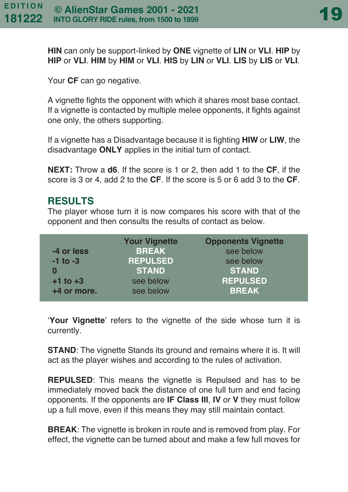**HIN** can only be support-linked by **ONE** vignette of **LIN** or **VLI**. **HIP** by **HIP** or **VLI**. **HIM** by **HIM** or **VLI**. **HIS** by **LIN** or **VLI**. **LIS** by **LIS** or **VLI**.

Your **CF** can go negative.

A vignette fights the opponent with which it shares most base contact. If a vignette is contacted by multiple melee opponents, it fights against one only, the others supporting.

If a vignette has a Disadvantage because it is fighting **HIW** or **LIW**, the disadvantage **ONLY** applies in the initial turn of contact.

**NEXT:** Throw a **d6**. If the score is 1 or 2, then add 1 to the **CF**, if the score is 3 or 4, add 2 to the **CF**. If the score is 5 or 6 add 3 to the **CF**.

#### **RESULTS**

The player whose turn it is now compares his score with that of the opponent and then consults the results of contact as below.

|              | <b>Your Vignette</b> | <b>Opponents Vignette</b> |
|--------------|----------------------|---------------------------|
| -4 or less   | <b>BREAK</b>         | see below                 |
| $-1$ to $-3$ | <b>REPULSED</b>      | see below                 |
|              | <b>STAND</b>         | <b>STAND</b>              |
| $+1$ to $+3$ | see below            | <b>REPULSED</b>           |
| +4 or more.  | see below            | <b>BREAK</b>              |

'**Your Vignette**' refers to the vignette of the side whose turn it is currently.

**STAND:** The vignette Stands its ground and remains where it is. It will act as the player wishes and according to the rules of activation.

**REPULSED**: This means the vignette is Repulsed and has to be immediately moved back the distance of one full turn and end facing opponents. If the opponents are **IF Class III**, **IV** or **V** they must follow up a full move, even if this means they may still maintain contact.

**BREAK**: The vignette is broken in route and is removed from play. For effect, the vignette can be turned about and make a few full moves for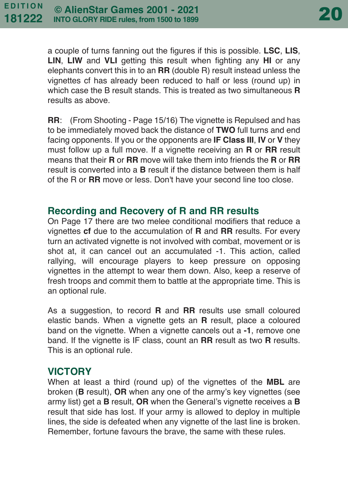a couple of turns fanning out the figures if this is possible. **LSC**, **LIS**, **LIN**, **LIW** and **VLI** getting this result when fighting any **HI** or any elephants convert this in to an **RR** (double R) result instead unless the vignettes cf has already been reduced to half or less (round up) in which case the B result stands. This is treated as two simultaneous **R** results as above.

**RR**: (From Shooting - Page 15/16) The vignette is Repulsed and has to be immediately moved back the distance of **TWO** full turns and end facing opponents. If you or the opponents are **IF Class III**, **IV** or **V** they must follow up a full move. If a vignette receiving an **R** or **RR** result means that their **R** or **RR** move will take them into friends the **R** or **RR** result is converted into a **B** result if the distance between them is half of the R or **RR** move or less. Don't have your second line too close.

#### **Recording and Recovery of R and RR results**

On Page 17 there are two melee conditional modifiers that reduce a vignettes **cf** due to the accumulation of **R** and **RR** results. For every turn an activated vignette is not involved with combat, movement or is shot at, it can cancel out an accumulated -1. This action, called rallying, will encourage players to keep pressure on opposing vignettes in the attempt to wear them down. Also, keep a reserve of fresh troops and commit them to battle at the appropriate time. This is an optional rule.

As a suggestion, to record **R** and **RR** results use small coloured elastic bands. When a vignette gets an **R** result, place a coloured band on the vignette. When a vignette cancels out a **-1**, remove one band. If the vignette is IF class, count an **RR** result as two **R** results. This is an optional rule.

#### **VICTORY**

When at least a third (round up) of the vignettes of the **MBL** are broken (**B** result), **OR** when any one of the army's key vignettes (see army list) get a **B** result, **OR** when the General's vignette receives a **B** result that side has lost. If your army is allowed to deploy in multiple lines, the side is defeated when any vignette of the last line is broken. Remember, fortune favours the brave, the same with these rules.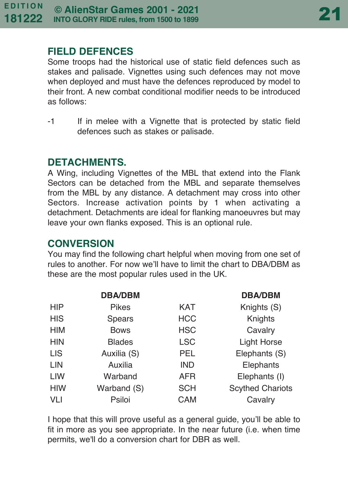#### **FIELD DEFENCES**

Some troops had the historical use of static field defences such as stakes and palisade. Vignettes using such defences may not move when deployed and must have the defences reproduced by model to their front. A new combat conditional modifier needs to be introduced as follows:

-1 If in melee with a Vignette that is protected by static field defences such as stakes or palisade.

#### **DETACHMENTS.**

A Wing, including Vignettes of the MBL that extend into the Flank Sectors can be detached from the MBL and separate themselves from the MBL by any distance. A detachment may cross into other Sectors. Increase activation points by 1 when activating a detachment. Detachments are ideal for flanking manoeuvres but may leave your own flanks exposed. This is an optional rule.

### **CONVERSION**

You may find the following chart helpful when moving from one set of rules to another. For now we'll have to limit the chart to DBA/DBM as these are the most popular rules used in the UK.

|            | <b>DBA/DBM</b> |            | <b>DBA/DBM</b>          |
|------------|----------------|------------|-------------------------|
| <b>HIP</b> | Pikes          | <b>KAT</b> | Knights (S)             |
| <b>HIS</b> | Spears         | <b>HCC</b> | Knights                 |
| <b>HIM</b> | <b>Bows</b>    | <b>HSC</b> | Cavalry                 |
| <b>HIN</b> | <b>Blades</b>  | <b>LSC</b> | <b>Light Horse</b>      |
| <b>LIS</b> | Auxilia (S)    | PEL        | Elephants (S)           |
| LIN        | Auxilia        | <b>IND</b> | Elephants               |
| <b>LIW</b> | Warband        | <b>AFR</b> | Elephants (I)           |
| <b>HIW</b> | Warband (S)    | <b>SCH</b> | <b>Scythed Chariots</b> |
| <b>VLI</b> | Psiloi         | <b>CAM</b> | Cavalry                 |

I hope that this will prove useful as a general guide, you'll be able to fit in more as you see appropriate. In the near future (i.e. when time permits, we'll do a conversion chart for DBR as well.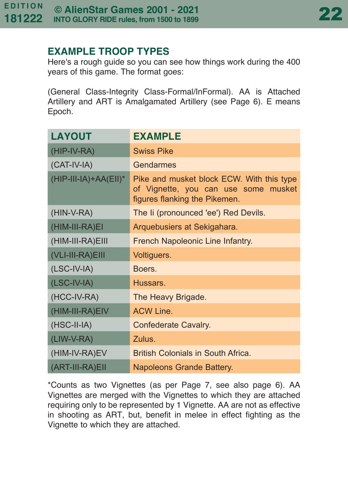#### **EXAMPLE TROOP TYPES**

Here's a rough guide so you can see how things work during the 400 years of this game. The format goes:

(General Class-Integrity Class-Formal/InFormal). AA is Attached Artillery and ART is Amalgamated Artillery (see Page 6). E means Epoch.

| <b>LAYOUT</b>            | <b>EXAMPLE</b>                                                                                                     |  |  |
|--------------------------|--------------------------------------------------------------------------------------------------------------------|--|--|
| (HIP-IV-RA)              | <b>Swiss Pike</b>                                                                                                  |  |  |
| (CAT-IV-IA)              | <b>Gendarmes</b>                                                                                                   |  |  |
| $(HIP-III-IA)+AA(EII)^*$ | Pike and musket block ECW. With this type<br>of Vignette, you can use some musket<br>figures flanking the Pikemen. |  |  |
| (HIN-V-RA)               | The Ii (pronounced 'ee') Red Devils.                                                                               |  |  |
| (HIM-III-RA)EI           | Arquebusiers at Sekigahara.                                                                                        |  |  |
| (HIM-III-RA)EIII         | French Napoleonic Line Infantry.                                                                                   |  |  |
| (VLI-III-RA)EIII         | Voltiguers.                                                                                                        |  |  |
| $(LSC-IV-IA)$            | Boers.                                                                                                             |  |  |
| $(LSC-IV-IA)$            | Hussars.                                                                                                           |  |  |
| (HCC-IV-RA)              | The Heavy Brigade.                                                                                                 |  |  |
| (HIM-III-RA)EIV          | <b>ACW Line.</b>                                                                                                   |  |  |
| $(HSC-II-IA)$            | Confederate Cavalry.                                                                                               |  |  |
| (LIW-V-RA)               | Zulus.                                                                                                             |  |  |
| (HIM-IV-RA)EV            | British Colonials in South Africa.                                                                                 |  |  |
| (ART-III-RA)EII          | Napoleons Grande Battery.                                                                                          |  |  |

\*Counts as two Vignettes (as per Page 7, see also page 6). AA Vignettes are merged with the Vignettes to which they are attached requiring only to be represented by 1 Vignette. AA are not as effective in shooting as ART, but, benefit in melee in effect fighting as the Vignette to which they are attached.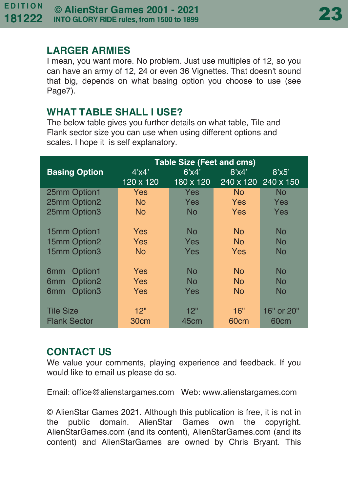#### **LARGER ARMIES**

I mean, you want more. No problem. Just use multiples of 12, so you can have an army of 12, 24 or even 36 Vignettes. That doesn't sound that big, depends on what basing option you choose to use (see Page7).

#### **WHAT TABLE SHALL I USE?**

The below table gives you further details on what table, Tile and Flank sector size you can use when using different options and scales. I hope it is self explanatory.

|                                        | <b>Table Size (Feet and cms)</b> |           |                     |            |  |
|----------------------------------------|----------------------------------|-----------|---------------------|------------|--|
| <b>Basing Option</b>                   | 4'x4'                            | 6'x4'     | 8'x4'               | 8'x5'      |  |
|                                        | 120 x 120                        | 180 x 120 | 240 x 120 240 x 150 |            |  |
| 25mm Option1                           | Yes                              | Yes       | <b>No</b>           | No         |  |
| 25mm Option2                           | N <sub>o</sub>                   | Yes       | <b>Yes</b>          | Yes        |  |
| 25mm Option3                           | N <sub>o</sub>                   | <b>No</b> | Yes                 | Yes        |  |
|                                        |                                  |           |                     |            |  |
| 15mm Option1                           | <b>Yes</b>                       | <b>No</b> | <b>No</b>           | No         |  |
| 15mm Option2                           | Yes                              | Yes       | No.                 | No         |  |
| 15mm Option3                           | N <sub>o</sub>                   | Yes       | Yes                 | No         |  |
|                                        |                                  |           |                     |            |  |
| Option1<br>6 <sub>mm</sub>             | Yes                              | <b>No</b> | N <sub>0</sub>      | No         |  |
| Option <sub>2</sub><br>6 <sub>mm</sub> | Yes                              | <b>No</b> | <b>No</b>           | No         |  |
| Option3<br>6 <sub>mm</sub>             | Yes                              | Yes       | <b>No</b>           | No         |  |
|                                        |                                  |           |                     |            |  |
| <b>Tile Size</b>                       | 12"                              | 12"       | 16"                 | 16" or 20" |  |
| <b>Flank Sector</b>                    | 30cm                             | 45cm      | 60cm                | 60cm       |  |

#### **CONTACT US**

We value your comments, playing experience and feedback. If you would like to email us please do so.

Email: office@alienstargames.com Web: www.alienstargames.com

© AlienStar Games 2021. Although this publication is free, it is not in the public domain. AlienStar Games own the copyright. AlienStarGames.com (and its content), AlienStarGames.com (and its content) and AlienStarGames are owned by Chris Bryant. This